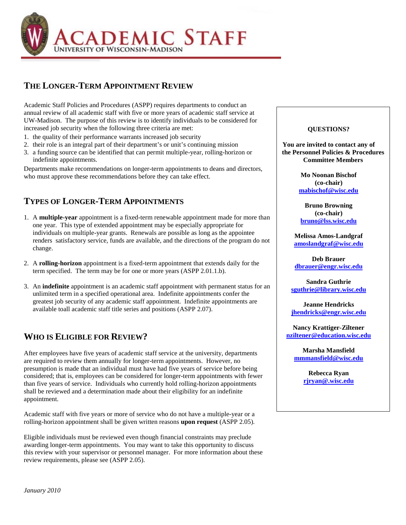

## **THE LONGER-TERM APPOINTMENT REVIEW**

Academic Staff Policies and Procedures (ASPP) requires departments to conduct an annual review of all academic staff with five or more years of academic staff service at UW-Madison. The purpose of this review is to identify individuals to be considered for increased job security when the following three criteria are met:

- 1. the quality of their performance warrants increased job security
- 2. their role is an integral part of their department's or unit's continuing mission
- 3. a funding source can be identified that can permit multiple-year, rolling-horizon or indefinite appointments.

Departments make recommendations on longer-term appointments to deans and directors, who must approve these recommendations before they can take effect.

## **TYPES OF LONGER-TERM APPOINTMENTS**

- 1. A **multiple-year** appointment is a fixed-term renewable appointment made for more than one year. This type of extended appointment may be especially appropriate for individuals on multiple-year grants. Renewals are possible as long as the appointee renders satisfactory service, funds are available, and the directions of the program do not change.
- 2. A **rolling-horizon** appointment is a fixed-term appointment that extends daily for the term specified. The term may be for one or more years (ASPP 2.01.1.b).
- 3. An **indefinite** appointment is an academic staff appointment with permanent status for an unlimited term in a specified operational area. Indefinite appointments confer the greatest job security of any academic staff appointment. Indefinite appointments are available toall academic staff title series and positions (ASPP 2.07).

### **WHO IS ELIGIBLE FOR REVIEW?**

After employees have five years of academic staff service at the university, departments are required to review them annually for longer-term appointments. However, no presumption is made that an individual must have had five years of service before being considered; that is, employees can be considered for longer-term appointments with fewer than five years of service. Individuals who currently hold rolling-horizon appointments shall be reviewed and a determination made about their eligibility for an indefinite appointment.

Academic staff with five years or more of service who do not have a multiple-year or a rolling-horizon appointment shall be given written reasons **upon request** (ASPP 2.05).

Eligible individuals must be reviewed even though financial constraints may preclude awarding longer-term appointments. You may want to take this opportunity to discuss this review with your supervisor or personnel manager. For more information about these review requirements, please see (ASPP 2.05).

#### **QUESTIONS?**

**You are invited to contact any of the Personnel Policies & Procedures Committee Members**

> **Mo Noonan Bischof (co-chair) [mabischof@wisc.edu](mailto:mabischof@wisc.edu)**

**Bruno Browning (co-chair) [bruno@lss.wisc.edu](mailto:bruno@lss.wisc.edu)**

**Melissa Amos-Landgraf [amoslandgraf@wisc.edu](mailto:amoslandgraf@wisc.edu)**

**Deb Brauer [dbrauer@engr.wisc.edu](mailto:dbrauer@engr.wisc.edu)**

**Sandra Guthrie [sguthrie@library.wisc.edu](mailto:sguthrie@library.wisc.edu)**

**Jeanne Hendricks [jhendricks@engr.wisc.edu](mailto:jhendricks@engr.wisc.edu)**

**Nancy Krattiger-Ziltener [nziltener@education.wisc.edu](mailto:nziltener@education.wisc.edu)**

**Marsha Mansfield [mmmansfield@wisc.edu](mailto:mmmansfield@wisc.edu)**

> **Rebecca Ryan [rjryan@.wisc.edu](mailto:rjryan@.wisc.edu)**